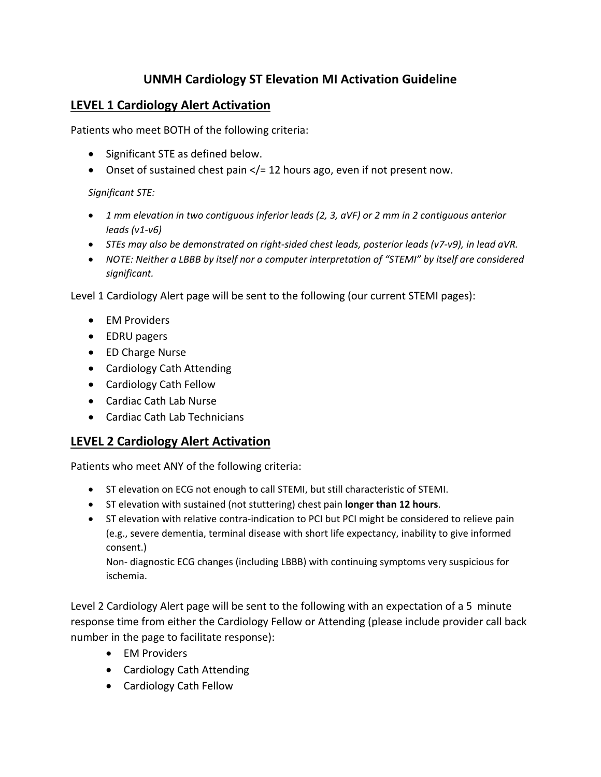# **UNMH Cardiology ST Elevation MI Activation Guideline**

## **LEVEL 1 Cardiology Alert Activation**

Patients who meet BOTH of the following criteria:

- Significant STE as defined below.
- Onset of sustained chest pain  $\lt/= 12$  hours ago, even if not present now.

### *Significant STE:*

- *1 mm elevation in two contiguous inferior leads (2, 3, aVF) or 2 mm in 2 contiguous anterior leads (v1‐v6)*
- STEs may also be demonstrated on right-sided chest leads, posterior leads ( $v7-v9$ ), in lead aVR.
- *NOTE: Neither a LBBB by itself nor a computer interpretation of "STEMI" by itself are considered significant.*

Level 1 Cardiology Alert page will be sent to the following (our current STEMI pages):

- EM Providers
- EDRU pagers
- ED Charge Nurse
- Cardiology Cath Attending
- Cardiology Cath Fellow
- Cardiac Cath Lab Nurse
- Cardiac Cath Lab Technicians

## **LEVEL 2 Cardiology Alert Activation**

Patients who meet ANY of the following criteria:

- ST elevation on ECG not enough to call STEMI, but still characteristic of STEMI.
- ST elevation with sustained (not stuttering) chest pain **longer than 12 hours**.
- ST elevation with relative contra‐indication to PCI but PCI might be considered to relieve pain (e.g., severe dementia, terminal disease with short life expectancy, inability to give informed consent.)

Non‐ diagnostic ECG changes (including LBBB) with continuing symptoms very suspicious for ischemia.

Level 2 Cardiology Alert page will be sent to the following with an expectation of a 5 minute response time from either the Cardiology Fellow or Attending (please include provider call back number in the page to facilitate response):

- EM Providers
- Cardiology Cath Attending
- Cardiology Cath Fellow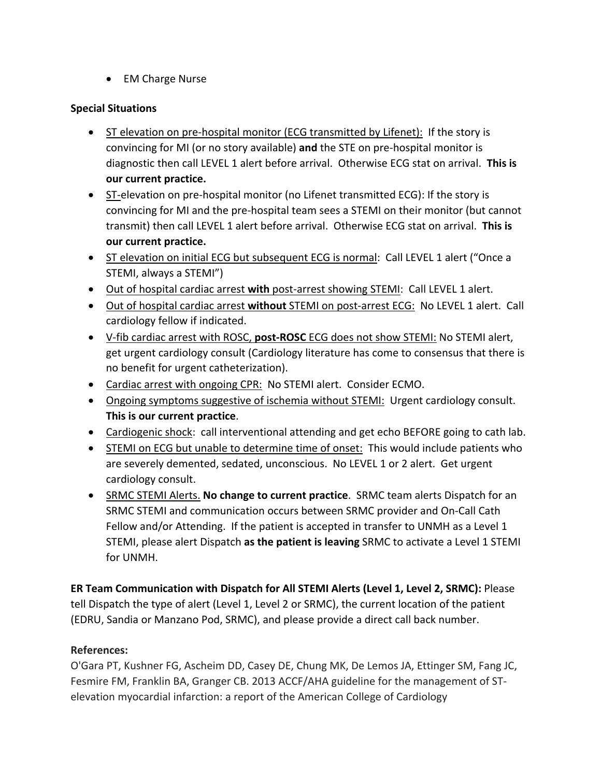• EM Charge Nurse

### **Special Situations**

- ST elevation on pre-hospital monitor (ECG transmitted by Lifenet): If the story is convincing for MI (or no story available) **and** the STE on pre‐hospital monitor is diagnostic then call LEVEL 1 alert before arrival. Otherwise ECG stat on arrival. **This is our current practice.**
- ST-elevation on pre-hospital monitor (no Lifenet transmitted ECG): If the story is convincing for MI and the pre‐hospital team sees a STEMI on their monitor (but cannot transmit) then call LEVEL 1 alert before arrival. Otherwise ECG stat on arrival. **This is our current practice.**
- ST elevation on initial ECG but subsequent ECG is normal: Call LEVEL 1 alert ("Once a STEMI, always a STEMI")
- Out of hospital cardiac arrest with post-arrest showing STEMI: Call LEVEL 1 alert.
- Out of hospital cardiac arrest without STEMI on post-arrest ECG: No LEVEL 1 alert. Call cardiology fellow if indicated.
- V‐fib cardiac arrest with ROSC, **post‐ROSC** ECG does not show STEMI: No STEMI alert, get urgent cardiology consult (Cardiology literature has come to consensus that there is no benefit for urgent catheterization).
- Cardiac arrest with ongoing CPR: No STEMI alert. Consider ECMO.
- Ongoing symptoms suggestive of ischemia without STEMI: Urgent cardiology consult. **This is our current practice**.
- Cardiogenic shock: call interventional attending and get echo BEFORE going to cath lab.
- STEMI on ECG but unable to determine time of onset: This would include patients who are severely demented, sedated, unconscious. No LEVEL 1 or 2 alert. Get urgent cardiology consult.
- SRMC STEMI Alerts. **No change to current practice**. SRMC team alerts Dispatch for an SRMC STEMI and communication occurs between SRMC provider and On‐Call Cath Fellow and/or Attending. If the patient is accepted in transfer to UNMH as a Level 1 STEMI, please alert Dispatch **as the patient is leaving** SRMC to activate a Level 1 STEMI for UNMH.

**ER Team Communication with Dispatch for All STEMI Alerts (Level 1, Level 2, SRMC):** Please tell Dispatch the type of alert (Level 1, Level 2 or SRMC), the current location of the patient (EDRU, Sandia or Manzano Pod, SRMC), and please provide a direct call back number.

## **References:**

O'Gara PT, Kushner FG, Ascheim DD, Casey DE, Chung MK, De Lemos JA, Ettinger SM, Fang JC, Fesmire FM, Franklin BA, Granger CB. 2013 ACCF/AHA guideline for the management of ST‐ elevation myocardial infarction: a report of the American College of Cardiology